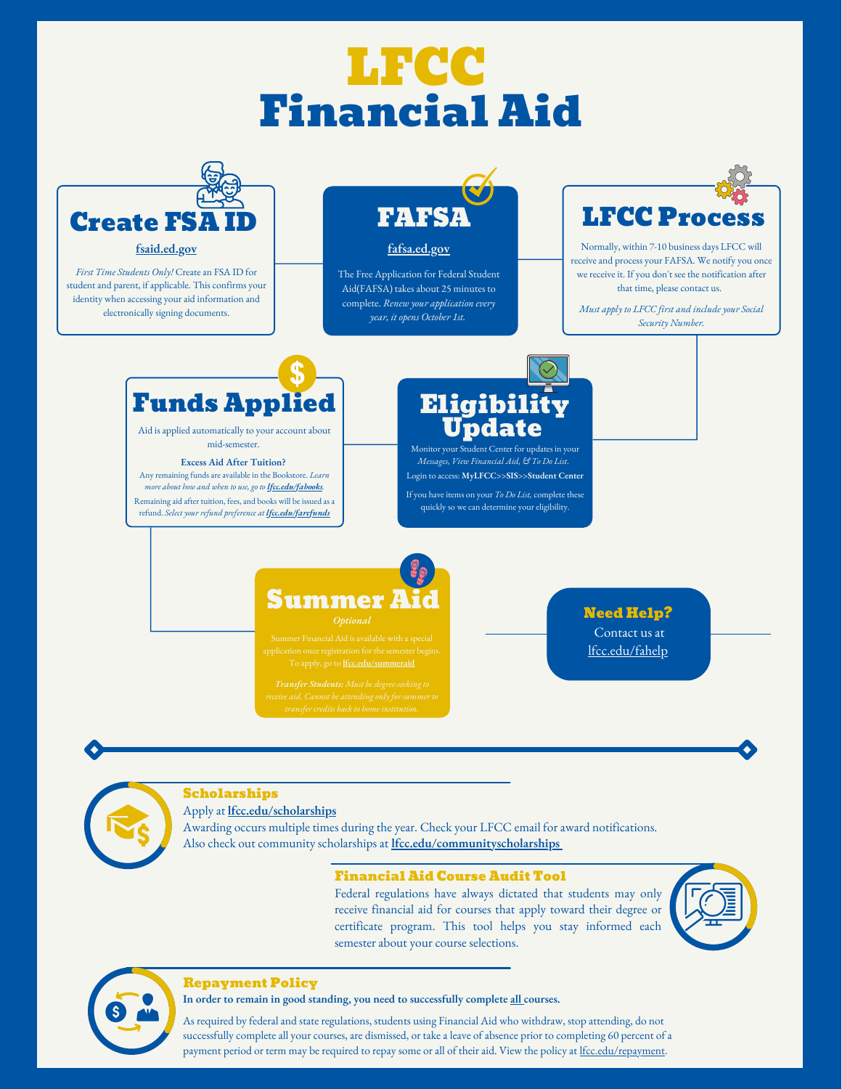# LFCC Financial Aid



### **fsaid.ed.gov**

*First Time Students Only!* Create an FSA ID for student and parent, if applicable. This confirms your identity when accessing your aid information and electronically signing documents.



### **fafsa.ed.gov**

The Free Application for Federal Student Aid(FAFSA) takes about 25 minutes to complete. *Renew your application every year, it opens October 1st.*



Normally, within 7-10 business days LFCC will receive and process your FAFSA. We notify you once we receive it. If you don't see the notification after that time, please contact us.

*Must apply to LFCC first and include your Social Security Number.*



Aid is applied automatically to your account about

#### **Excess Aid After Tuition?**

Any remaining funds are available in the Bookstore. *Learn more about how and when to use, go to lfcc.edu/fabooks.* Remaining aid after tuition, fees, and books will be issued as a refund. *Select your refund preference at lfcc.edu/farefunds*

### **Eligibility** omatically to your account about **Update**

Monitor your Student Center for updates in your *Messages, View Financial Aid, & To Do List*. Login to access: **MyLFCC>>SIS>>Student Center**

If you have items on your *To Do List,* complete these quickly so we can determine your eligibility.

### Need Help?

Contact us at

## Summer A

lfcc.edu/fahelp

### Scholarships

### Apply at **lfcc.edu/scholarships**

Awarding occurs multiple times during the year. Check your LFCC email for award notifications. Also check out community scholarships at **lfcc.edu/communityscholarships**

### Financial Aid Course Audit Tool

Federal regulations have always dictated that students may only receive financial aid for courses that apply toward their degree or certificate program. This tool helps you stay informed each semester about your course selections.





#### Repayment Policy

**In order to remain in good standing, you need to successfully complete all courses.**

As required by federal and state regulations, students using Financial Aid who withdraw, stop attending, do not successfully complete all your courses, are dismissed, or take a leave of absence prior to completing 60 percent of a payment period or term may be required to repay some or all of their aid. View the policy at lfcc.edu/repayment.